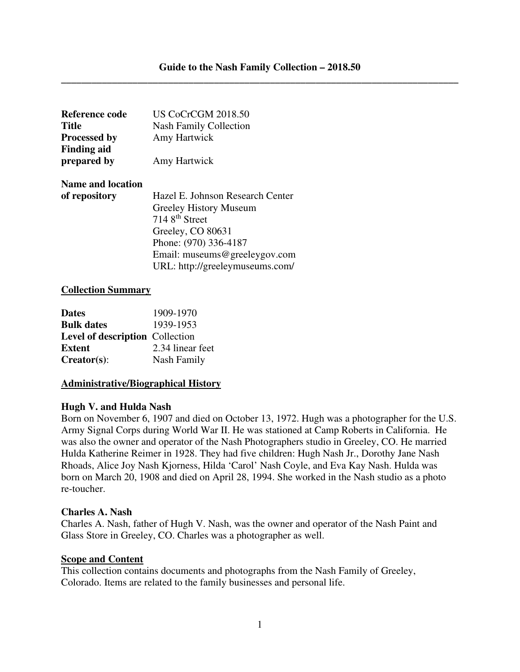| Reference code           | <b>US CoCrCGM 2018.50</b>        |
|--------------------------|----------------------------------|
| <b>Title</b>             | <b>Nash Family Collection</b>    |
| <b>Processed by</b>      | Amy Hartwick                     |
| <b>Finding aid</b>       |                                  |
| prepared by              | Amy Hartwick                     |
| <b>Name and location</b> |                                  |
| of repository            | Hazel E. Johnson Research Center |
|                          | Greeley History Museum           |
|                          | 7148 <sup>th</sup> Street        |
|                          | Greeley, CO 80631                |
|                          | Phone: (970) 336-4187            |
|                          | Email: museums@greeleygov.com    |
|                          | URL: http://greeleymuseums.com/  |

#### **Collection Summary**

| <b>Dates</b>                           | 1909-1970        |
|----------------------------------------|------------------|
| <b>Bulk dates</b>                      | 1939-1953        |
| <b>Level of description</b> Collection |                  |
| <b>Extent</b>                          | 2.34 linear feet |
| $Creates$ :                            | Nash Family      |

#### **Administrative/Biographical History**

#### **Hugh V. and Hulda Nash**

Born on November 6, 1907 and died on October 13, 1972. Hugh was a photographer for the U.S. Army Signal Corps during World War II. He was stationed at Camp Roberts in California. He was also the owner and operator of the Nash Photographers studio in Greeley, CO. He married Hulda Katherine Reimer in 1928. They had five children: Hugh Nash Jr., Dorothy Jane Nash Rhoads, Alice Joy Nash Kjorness, Hilda 'Carol' Nash Coyle, and Eva Kay Nash. Hulda was born on March 20, 1908 and died on April 28, 1994. She worked in the Nash studio as a photo re-toucher.

#### **Charles A. Nash**

Charles A. Nash, father of Hugh V. Nash, was the owner and operator of the Nash Paint and Glass Store in Greeley, CO. Charles was a photographer as well.

#### **Scope and Content**

This collection contains documents and photographs from the Nash Family of Greeley, Colorado. Items are related to the family businesses and personal life.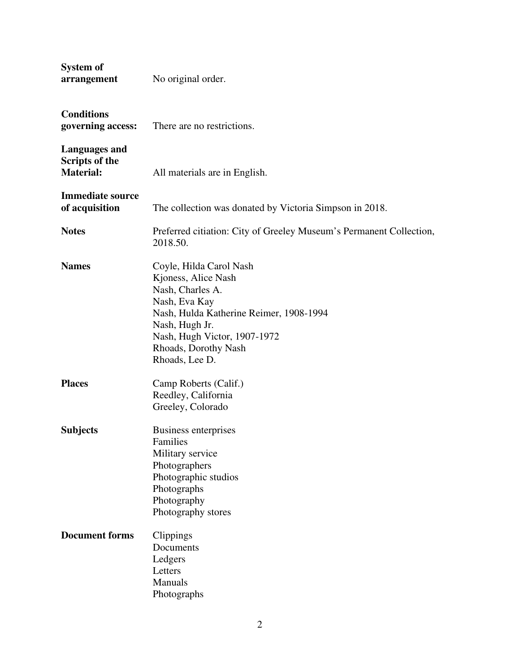| System of<br>arrangement                                   | No original order.                                                                                                                                                                                                         |
|------------------------------------------------------------|----------------------------------------------------------------------------------------------------------------------------------------------------------------------------------------------------------------------------|
| <b>Conditions</b><br>governing access:                     | There are no restrictions.                                                                                                                                                                                                 |
| <b>Languages and</b><br>Scripts of the<br><b>Material:</b> | All materials are in English.                                                                                                                                                                                              |
| <b>Immediate source</b><br>of acquisition                  | The collection was donated by Victoria Simpson in 2018.                                                                                                                                                                    |
| <b>Notes</b>                                               | Preferred citiation: City of Greeley Museum's Permanent Collection,<br>2018.50.                                                                                                                                            |
| <b>Names</b>                                               | Coyle, Hilda Carol Nash<br>Kjoness, Alice Nash<br>Nash, Charles A.<br>Nash, Eva Kay<br>Nash, Hulda Katherine Reimer, 1908-1994<br>Nash, Hugh Jr.<br>Nash, Hugh Victor, 1907-1972<br>Rhoads, Dorothy Nash<br>Rhoads, Lee D. |
| <b>Places</b>                                              | Camp Roberts (Calif.)<br>Reedley, California<br>Greeley, Colorado                                                                                                                                                          |
| <b>Subjects</b>                                            | Business enterprises<br>Families<br>Military service<br>Photographers<br>Photographic studios<br>Photographs<br>Photography<br>Photography stores                                                                          |
| <b>Document forms</b>                                      | Clippings<br>Documents<br>Ledgers<br>Letters<br>Manuals<br>Photographs                                                                                                                                                     |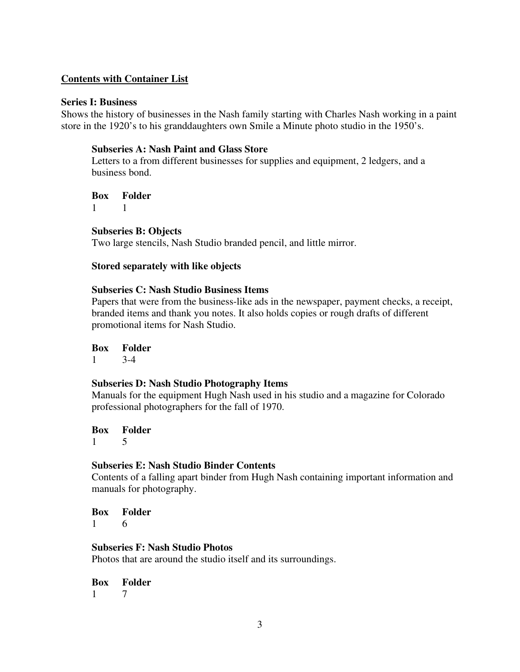## **Contents with Container List**

### **Series I: Business**

Shows the history of businesses in the Nash family starting with Charles Nash working in a paint store in the 1920's to his granddaughters own Smile a Minute photo studio in the 1950's.

## **Subseries A: Nash Paint and Glass Store**

Letters to a from different businesses for supplies and equipment, 2 ledgers, and a business bond.

**Box Folder** 

1 1

## **Subseries B: Objects**

Two large stencils, Nash Studio branded pencil, and little mirror.

## **Stored separately with like objects**

## **Subseries C: Nash Studio Business Items**

Papers that were from the business-like ads in the newspaper, payment checks, a receipt, branded items and thank you notes. It also holds copies or rough drafts of different promotional items for Nash Studio.

## **Box Folder**

1 3-4

## **Subseries D: Nash Studio Photography Items**

Manuals for the equipment Hugh Nash used in his studio and a magazine for Colorado professional photographers for the fall of 1970.

#### **Box Folder** 1 5

## **Subseries E: Nash Studio Binder Contents**

Contents of a falling apart binder from Hugh Nash containing important information and manuals for photography.

**Box Folder** 1 6

## **Subseries F: Nash Studio Photos**

Photos that are around the studio itself and its surroundings.

**Box Folder**

1 7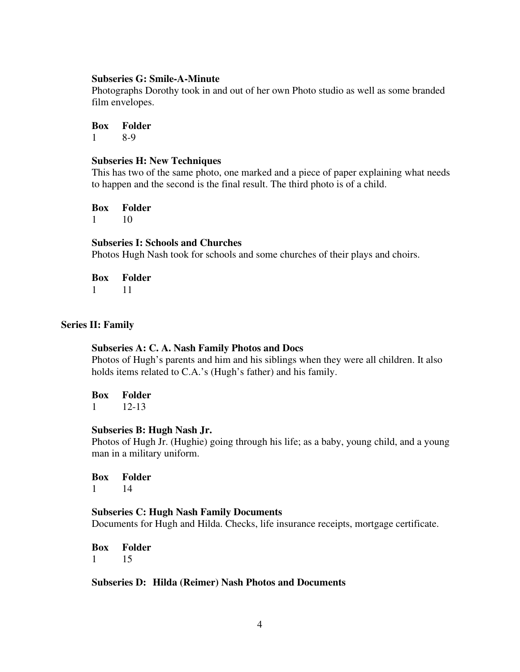#### **Subseries G: Smile-A-Minute**

Photographs Dorothy took in and out of her own Photo studio as well as some branded film envelopes.

**Box Folder** 1 8-9

#### **Subseries H: New Techniques**

This has two of the same photo, one marked and a piece of paper explaining what needs to happen and the second is the final result. The third photo is of a child.

**Box Folder**

1 10

## **Subseries I: Schools and Churches**

Photos Hugh Nash took for schools and some churches of their plays and choirs.

| Box | Folder |
|-----|--------|
|     |        |

### **Series II: Family**

#### **Subseries A: C. A. Nash Family Photos and Docs**

Photos of Hugh's parents and him and his siblings when they were all children. It also holds items related to C.A.'s (Hugh's father) and his family.

**Box Folder**

 $1 \t 12-13$ 

#### **Subseries B: Hugh Nash Jr.**

Photos of Hugh Jr. (Hughie) going through his life; as a baby, young child, and a young man in a military uniform.

**Box Folder**  1 14

## **Subseries C: Hugh Nash Family Documents** Documents for Hugh and Hilda. Checks, life insurance receipts, mortgage certificate.

**Box Folder**  1 15

#### **Subseries D: Hilda (Reimer) Nash Photos and Documents**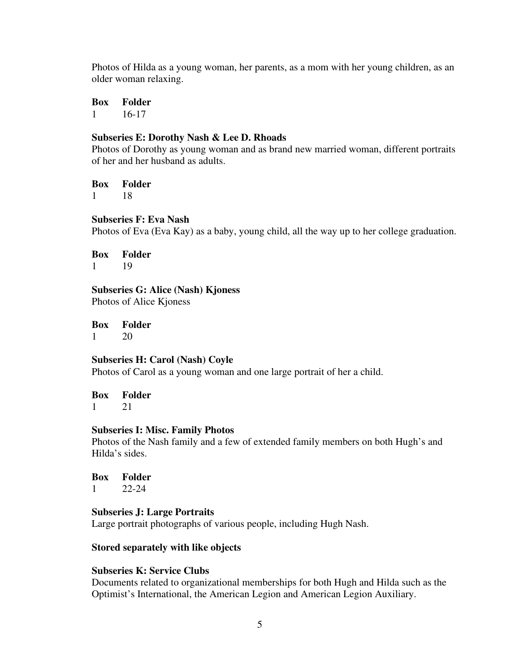Photos of Hilda as a young woman, her parents, as a mom with her young children, as an older woman relaxing.

**Box Folder** 1 16-17

### **Subseries E: Dorothy Nash & Lee D. Rhoads**

Photos of Dorothy as young woman and as brand new married woman, different portraits of her and her husband as adults.

**Box Folder**  1 18

**Subseries F: Eva Nash** 

Photos of Eva (Eva Kay) as a baby, young child, all the way up to her college graduation.

**Box Folder** 1 19

**Subseries G: Alice (Nash) Kjoness**  Photos of Alice Kjoness

**Box Folder** 1 20

**Subseries H: Carol (Nash) Coyle** 

Photos of Carol as a young woman and one large portrait of her a child.

**Box Folder** 1 21

#### **Subseries I: Misc. Family Photos**

Photos of the Nash family and a few of extended family members on both Hugh's and Hilda's sides.

**Box Folder** 1 22-24

# **Subseries J: Large Portraits**

Large portrait photographs of various people, including Hugh Nash.

## **Stored separately with like objects**

## **Subseries K: Service Clubs**

Documents related to organizational memberships for both Hugh and Hilda such as the Optimist's International, the American Legion and American Legion Auxiliary.